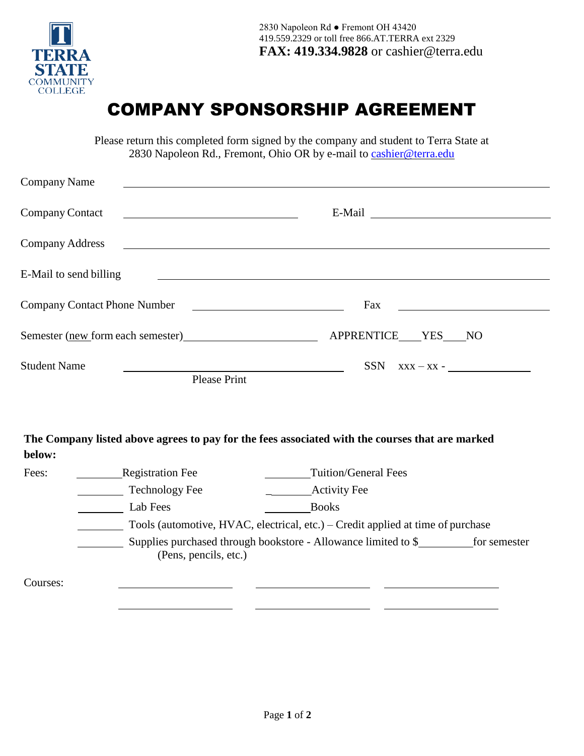

## COMPANY SPONSORSHIP AGREEMENT

Please return this completed form signed by the company and student to Terra State at 2830 Napoleon Rd., Fremont, Ohio OR by e-mail to [cashier@terra.edu](mailto:cashier@terra.edu)

| <b>Company Name</b>                 |                       |                                                                                                 |
|-------------------------------------|-----------------------|-------------------------------------------------------------------------------------------------|
| Company Contact                     |                       |                                                                                                 |
| <b>Company Address</b>              |                       |                                                                                                 |
| E-Mail to send billing              |                       |                                                                                                 |
| <b>Company Contact Phone Number</b> |                       | Fax<br><u> 1980 - Jan Stein Stein, fransk politik (f. 1918)</u>                                 |
|                                     |                       | Semester (new form each semester) APPRENTICE YES NO                                             |
| <b>Student Name</b>                 | <b>Please Print</b>   | $SSN$ $XXX - XX -$<br><u> 1980 - Johann Barbara, martxa alemaniar a</u>                         |
|                                     |                       |                                                                                                 |
| below:                              |                       | The Company listed above agrees to pay for the fees associated with the courses that are marked |
| Fees:                               | Registration Fee      | <b>Tuition/General Fees</b>                                                                     |
|                                     | Technology Fee        |                                                                                                 |
|                                     | Lab Fees              | <b>Books</b>                                                                                    |
|                                     |                       | Tools (automotive, HVAC, electrical, etc.) – Credit applied at time of purchase                 |
|                                     |                       | Supplies purchased through bookstore - Allowance limited to \$ _____________ for semester       |
|                                     | (Pens, pencils, etc.) |                                                                                                 |